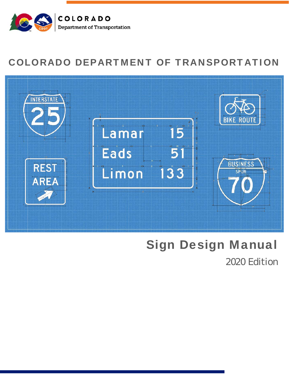

## COLORADO DEPARTMENT OF TRANSPORTATION



# Sign Design Manual

2020 Edition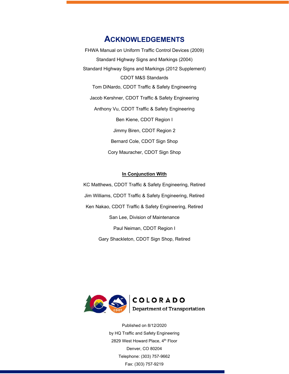### **ACKNOWLEDGEMENTS**

FHWA Manual on Uniform Traffic Control Devices (2009) Standard Highway Signs and Markings (2004) Standard Highway Signs and Markings (2012 Supplement) CDOT M&S Standards Tom DiNardo, CDOT Traffic & Safety Engineering Jacob Kershner, CDOT Traffic & Safety Engineering Anthony Vu, CDOT Traffic & Safety Engineering Ben Kiene, CDOT Region I Jimmy Biren, CDOT Region 2 Bernard Cole, CDOT Sign Shop Cory Mauracher, CDOT Sign Shop

#### **In Conjunction With**

KC Matthews, CDOT Traffic & Safety Engineering, Retired Jim Williams, CDOT Traffic & Safety Engineering, Retired Ken Nakao, CDOT Traffic & Safety Engineering, Retired San Lee, Division of Maintenance Paul Neiman, CDOT Region I Gary Shackleton, CDOT Sign Shop, Retired



Published on 8/12/2020 by HQ Traffic and Safety Engineering 2829 West Howard Place, 4<sup>th</sup> Floor Denver, CO 80204 Telephone: (303) 757-9662 Fax: (303) 757-9219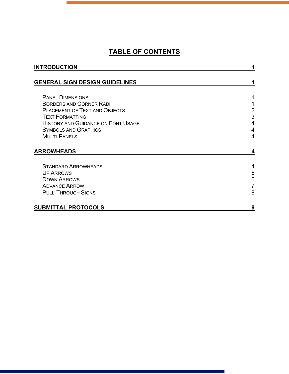### **TABLE OF CONTENTS**

| <b>INTRODUCTION</b>                                                                                                                                                                                                             |                                                 |
|---------------------------------------------------------------------------------------------------------------------------------------------------------------------------------------------------------------------------------|-------------------------------------------------|
| <b>GENERAL SIGN DESIGN GUIDELINES</b>                                                                                                                                                                                           |                                                 |
| <b>PANEL DIMENSIONS</b><br><b>BORDERS AND CORNER RADII</b><br><b>PLACEMENT OF TEXT AND OBJECTS</b><br><b>TEXT FORMATTING</b><br><b>HISTORY AND GUIDANCE ON FONT USAGE</b><br><b>SYMBOLS AND GRAPHICS</b><br><b>MULTI-PANELS</b> | $\overline{2}$<br>3<br>4<br>$\overline{4}$<br>4 |
| <b>ARROWHEADS</b>                                                                                                                                                                                                               | 4                                               |
| <b>STANDARD ARROWHEADS</b><br><b>UP ARROWS</b><br><b>DOWN ARROWS</b><br><b>ADVANCE ARROW</b><br><b>PULL-THROUGH SIGNS</b>                                                                                                       | 4<br>5<br>6<br>$\overline{7}$<br>8              |
| <b>SUBMITTAL PROTOCOLS</b>                                                                                                                                                                                                      | 9                                               |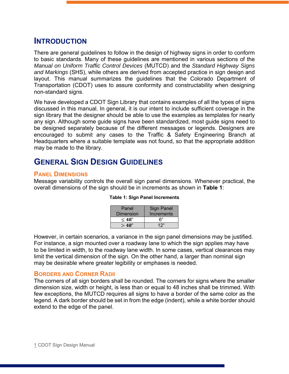### **INTRODUCTION**

There are general guidelines to follow in the design of highway signs in order to conform to basic standards. Many of these guidelines are mentioned in various sections of the *Manual on Uniform Traffic Control Devices* (MUTCD) and the *Standard Highway Signs and Markings* (SHS), while others are derived from accepted practice in sign design and layout. This manual summarizes the guidelines that the Colorado Department of Transportation (CDOT) uses to assure conformity and constructability when designing non-standard signs.

We have developed a CDOT Sign Library that contains examples of all the types of signs discussed in this manual. In general, it is our intent to include sufficient coverage in the sign library that the designer should be able to use the examples as templates for nearly any sign. Although some guide signs have been standardized, most guide signs need to be designed separately because of the different messages or legends. Designers are encouraged to submit any cases to the Traffic & Safety Engineering Branch at Headquarters where a suitable template was not found, so that the appropriate addition may be made to the library.

### **GENERAL SIGN DESIGN GUIDELINES**

#### **PANEL DIMENSIONS**

Message variability controls the overall sign panel dimensions. Whenever practical, the overall dimensions of the sign should be in increments as shown in **Table 1**:

|  |  |  | <b>Table 1: Sign Panel Increments</b> |
|--|--|--|---------------------------------------|
|--|--|--|---------------------------------------|

| Panel     | <b>Sign Panel</b> |
|-----------|-------------------|
| Dimension | Increments        |
| $<$ 48"   | ิ "               |
| 48"       | 1つ'               |

However, in certain scenarios, a variance in the sign panel dimensions may be justified. For instance, a sign mounted over a roadway lane to which the sign applies may have to be limited in width, to the roadway lane width. In some cases, vertical clearances may limit the vertical dimension of the sign. On the other hand, a larger than nominal sign may be desirable where greater legibility or emphases is needed.

#### **BORDERS AND CORNER RADII**

The corners of all sign borders shall be rounded. The corners for signs where the smaller dimension size, width or height, is less than or equal to 48 inches shall be trimmed. With few exceptions, the MUTCD requires all signs to have a border of the same color as the legend. A dark border should be set in from the edge (indent), while a white border should extend to the edge of the panel.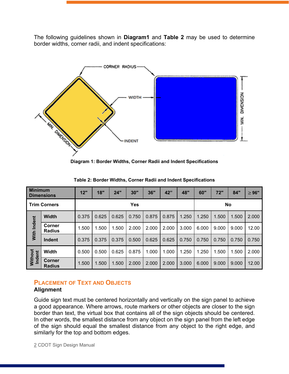The following guidelines shown in **Diagram1** and **Table 2** may be used to determine border widths, corner radii, and indent specifications:



**Diagram 1: Border Widths, Corner Radii and Indent Specifications**

| <b>Minimum</b>             | <b>Dimensions</b>              | 12"   | 18"   | 24"   | 30"   | 36"   | 42"   | 48"   | 60"   | 72"   | 84"   | >96"  |
|----------------------------|--------------------------------|-------|-------|-------|-------|-------|-------|-------|-------|-------|-------|-------|
| Yes<br><b>Trim Corners</b> |                                |       |       |       |       |       |       |       | No    |       |       |       |
|                            | Width                          | 0.375 | 0.625 | 0.625 | 0.750 | 0.875 | 0.875 | 1.250 | 1.250 | 1.500 | 1.500 | 2.000 |
| With Indent                | Corner<br><b>Radius</b>        | 1.500 | .500  | 1.500 | 2.000 | 2.000 | 2.000 | 3.000 | 6.000 | 9.000 | 9.000 | 12.00 |
|                            | Indent                         | 0.375 | 0.375 | 0.375 | 0.500 | 0.625 | 0.625 | 0.750 | 0.750 | 0.750 | 0.750 | 0.750 |
| Without<br>Indent          | Width                          | 0.500 | 0.500 | 0.625 | 0.875 | 1.000 | 1.000 | 1.250 | 1.250 | 1.500 | 1.500 | 2.000 |
|                            | <b>Corner</b><br><b>Radius</b> | 1.500 | 1.500 | 1.500 | 2.000 | 2.000 | 2.000 | 3.000 | 6.000 | 9.000 | 9.000 | 12.00 |

**Table 2: Border Widths, Corner Radii and Indent Specifications** 

### **PLACEMENT OF TEXT AND OBJECTS**

#### **Alignment**

Guide sign text must be centered horizontally and vertically on the sign panel to achieve a good appearance. Where arrows, route markers or other objects are closer to the sign border than text, the virtual box that contains all of the sign objects should be centered. In other words, the smallest distance from any object on the sign panel from the left edge of the sign should equal the smallest distance from any object to the right edge, and similarly for the top and bottom edges.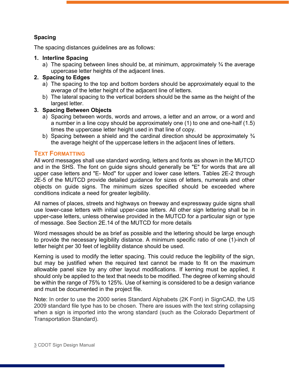#### **Spacing**

The spacing distances guidelines are as follows:

#### **1. Interline Spacing**

a) The spacing between lines should be, at minimum, approximately  $\frac{3}{4}$  the average uppercase letter heights of the adjacent lines.

#### **2. Spacing to Edges**

- a) The spacing to the top and bottom borders should be approximately equal to the average of the letter height of the adjacent line of letters.
- b) The lateral spacing to the vertical borders should be the same as the height of the largest letter.

#### **3. Spacing Between Objects**

- a) Spacing between words, words and arrows, a letter and an arrow, or a word and a number in a line copy should be approximately one (1) to one and one-half (1.5) times the uppercase letter height used in that line of copy.
- b) Spacing between a shield and the cardinal direction should be approximately  $\frac{3}{4}$ the average height of the uppercase letters in the adjacent lines of letters.

#### **TEXT FORMATTING**

All word messages shall use standard wording, letters and fonts as shown in the MUTCD and in the SHS. The font on guide signs should generally be "E" for words that are all upper case letters and "E- Mod" for upper and lower case letters. Tables 2E-2 through 2E-5 of the MUTCD provide detailed guidance for sizes of letters, numerals and other objects on guide signs. The minimum sizes specified should be exceeded where conditions indicate a need for greater legibility.

All names of places, streets and highways on freeway and expressway guide signs shall use lower-case letters with initial upper-case letters. All other sign lettering shall be in upper-case letters, unless otherwise provided in the MUTCD for a particular sign or type of message. See Section 2E.14 of the MUTCD for more details

Word messages should be as brief as possible and the lettering should be large enough to provide the necessary legibility distance. A minimum specific ratio of one (1)-inch of letter height per 30 feet of legibility distance should be used.

Kerning is used to modify the letter spacing. This could reduce the legibility of the sign, but may be justified when the required text cannot be made to fit on the maximum allowable panel size by any other layout modifications. If kerning must be applied, it should only be applied to the text that needs to be modified. The degree of kerning should be within the range of 75% to 125%. Use of kerning is considered to be a design variance and must be documented in the project file.

Note: In order to use the 2000 series Standard Alphabets (2K Font) in SignCAD, the US 2009 standard file type has to be chosen. There are issues with the text string collapsing when a sign is imported into the wrong standard (such as the Colorado Department of Transportation Standard).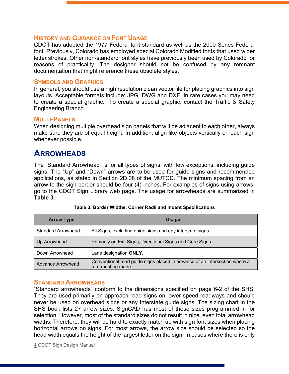#### **HISTORY AND GUIDANCE ON FONT USAGE**

CDOT has adopted the 1977 Federal font standard as well as the 2000 Series Federal font. Previously, Colorado has employed special Colorado Modified fonts that used wider letter strokes. Other non-standard font styles have previously been used by Colorado for reasons of practicality. The designer should not be confused by any remnant documentation that might reference these obsolete styles.

#### **SYMBOLS AND GRAPHICS**

In general, you should use a high resolution clean vector file for placing graphics into sign layouts. Acceptable formats include: JPG, DWG and DXF. In rare cases you may need to create a special graphic. To create a special graphic, contact the Traffic & Safety Engineering Branch.

#### **MULTI-PANELS**

When designing multiple overhead sign panels that will be adjacent to each other, always make sure they are of equal height. In addition, align like objects vertically on each sign whenever possible.

### **ARROWHEADS**

The "Standard Arrowhead" is for all types of signs, with few exceptions, including guide signs. The "Up" and "Down" arrows are to be used for guide signs and recommended applications, as stated in Section 2D.08 of the MUTCD. The minimum spacing from an arrow to the sign border should be four (4) inches. For examples of signs using arrows, go to the CDOT Sign Library web page. The usage for arrowheads are summarized in **Table 3**.

| <b>Arrow Type</b>  | <b>Usage</b>                                                                                     |
|--------------------|--------------------------------------------------------------------------------------------------|
| Standard Arrowhead | All Signs, excluding guide signs and any interstate signs.                                       |
| Up Arrowhead       | Primarily on Exit Signs, Directional Signs and Gore Signs.                                       |
| Down Arrowhead     | Lane designation ONLY.                                                                           |
| Advance Arrowhead  | Conventional road guide signs placed in advance of an intersection where a<br>turn must be made. |

| Table 3: Border Widths, Corner Radii and Indent Specifications |  |  |
|----------------------------------------------------------------|--|--|
|----------------------------------------------------------------|--|--|

#### **STANDARD ARROWHEADS**

"Standard arrowheads" conform to the dimensions specified on page 6-2 of the SHS. They are used primarily on approach road signs on lower speed roadways and should never be used on overhead signs or any Interstate guide signs. The sizing chart in the SHS book lists 27 arrow sizes. SignCAD has most of those sizes programmed in for selection. However, most of the standard sizes do not result in nice, even total arrowhead widths. Therefore, they will be hard to exactly match up with sign font sizes when placing horizontal arrows on signs. For most arrows, the arrow size should be selected so the head width equals the height of the largest letter on the sign. In cases where there is only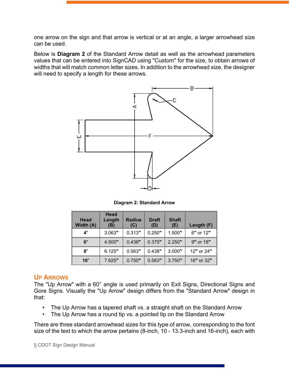one arrow on the sign and that arrow is vertical or at an angle, a larger arrowhead size can be used.

Below is **Diagram 2** of the Standard Arrow detail as well as the arrowhead parameters values that can be entered into SignCAD using "Custom" for the size, to obtain arrows of widths that will match common letter sizes. In addition to the arrowhead size, the designer will need to specify a length for these arrows.



**Diagram 2: Standard Arrow** 

| Head<br>Width (A) | <b>Head</b><br>Length<br>(B) | <b>Radius</b><br>(C) | <b>Draft</b><br>(D) | <b>Shaft</b><br>(E) | Length (F) |
|-------------------|------------------------------|----------------------|---------------------|---------------------|------------|
| 4"                | 3.063"                       | 0.313"               | 0.250"              | 1.500"              | 6" or 12"  |
| 6"                | 4.500"                       | 0.438"               | 0.375"              | 2.250"              | 9" or 18"  |
| 8"                | 6.125"                       | 0.563"               | 0.438"              | 3.000"              | 12" or 24" |
| 10"               | 7.625"                       | 0.750"               | 0.563"              | 3.750"              | 16" or 32" |

#### **UP ARROWS**

The "Up Arrow" with a 60° angle is used primarily on Exit Signs, Directional Signs and Gore Signs. Visually the "Up Arrow" design differs from the "Standard Arrow" design in that:

- The Up Arrow has a tapered shaft vs. a straight shaft on the Standard Arrow
- The Up Arrow has a round tip vs. a pointed tip on the Standard Arrow

There are three standard arrowhead sizes for this type of arrow, corresponding to the font size of the text to which the arrow pertains (8-inch, 10 - 13.3-inch and 16-inch), each with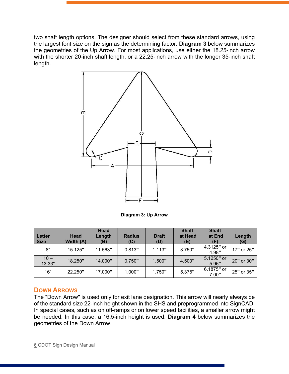two shaft length options. The designer should select from these standard arrows, using the largest font size on the sign as the determining factor. **Diagram 3** below summarizes the geometries of the Up Arrow. For most applications, use either the 18.25-inch arrow with the shorter 20-inch shaft length, or a 22.25-inch arrow with the longer 35-inch shaft length.



**Diagram 3: Up Arrow** 

| Letter<br><b>Size</b> | <b>Head</b><br>Width (A) | Head<br>Length<br>(B) | <b>Radius</b><br>(C) | <b>Draft</b><br>(D) | <b>Shaft</b><br>at Head<br>(E) | <b>Shaft</b><br>at End<br>Œ | Length<br>(G) |
|-----------------------|--------------------------|-----------------------|----------------------|---------------------|--------------------------------|-----------------------------|---------------|
| 8"                    | 15.125"                  | 11.563"               | 0.813"               | 1.113"              | 3.750"                         | 4.3125" or<br>4.98"         | 17" or 25"    |
| $10 -$<br>13.33"      | 18.250"                  | 14.000"               | 0.750"               | 1.500"              | 4.500"                         | 5.1250" or<br>5.96"         | 20" or 30"    |
| 16"                   | 22.250"                  | 17.000"               | 1.000"               | 1.750"              | 5.375"                         | $6.1875"$ or<br>7.00"       | 25" or 35"    |

#### **DOWN ARROWS**

The "Down Arrow" is used only for exit lane designation. This arrow will nearly always be of the standard size 22-inch height shown in the SHS and preprogrammed into SignCAD. In special cases, such as on off-ramps or on lower speed facilities, a smaller arrow might be needed. In this case, a 16.5-inch height is used. **Diagram 4** below summarizes the geometries of the Down Arrow.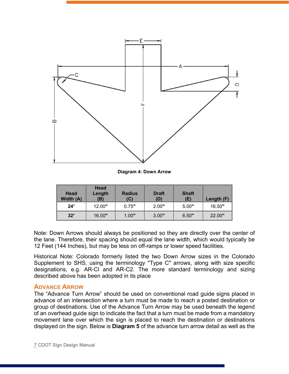

**Diagram 4: Down Arrow** 

| <b>Head</b><br>Width (A) | <b>Head</b><br>Length<br>(B) | <b>Radius</b><br>(C) | <b>Draft</b><br>(D) | <b>Shaft</b><br>(E) | Length (F) |
|--------------------------|------------------------------|----------------------|---------------------|---------------------|------------|
| 24"                      | 12.00"                       | 0.75"                | 2.00"               | 5.00"               | 16.50"     |
| 32"                      | 16.00"                       | 1.00"                | 3.00"               | 6.50"               | 22.00"     |

Note: Down Arrows should always be positioned so they are directly over the center of the lane. Therefore, their spacing should equal the lane width, which would typically be 12 Feet (144 Inches), but may be less on off-ramps or lower speed facilities.

Historical Note: Colorado formerly listed the two Down Arrow sizes in the Colorado Supplement to SHS, using the terminology ''Type C" arrows, along with size specific designations, e.g. AR-Cl and AR-C2. The more standard terminology and sizing described above has been adopted in its place

#### **ADVANCE ARROW**

The "Advance Turn Arrow" should be used on conventional road guide signs placed in advance of an intersection where a turn must be made to reach a posted destination or group of destinations. Use of the Advance Turn Arrow may be used beneath the legend of an overhead guide sign to indicate the fact that a turn must be made from a mandatory movement lane over which the sign is placed to reach the destination or destinations displayed on the sign. Below is **Diagram 5** of the advance turn arrow detail as well as the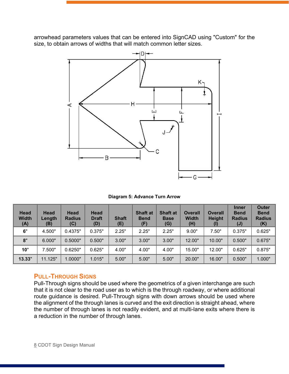arrowhead parameters values that can be entered into SignCAD using "Custom" for the size, to obtain arrows of widths that will match common letter sizes.



**Diagram 5: Advance Turn Arrow** 

| <b>Head</b><br><b>Width</b><br>(A) | <b>Head</b><br>Length<br>(B) | <b>Head</b><br><b>Radius</b><br>(C) | Head<br><b>Draft</b><br>(D) | <b>Shaft</b><br>(E) | <b>Shaft at</b><br><b>Bend</b><br>(F) | <b>Shaft at</b><br><b>Base</b><br>(G) | <b>Overall</b><br><b>Width</b><br>(H) | <b>Overall</b><br><b>Height</b><br>(I) | <b>Inner</b><br><b>Bend</b><br><b>Radius</b><br>$(\mathsf{J})$ | Outer<br><b>Bend</b><br><b>Radius</b><br>(K) |
|------------------------------------|------------------------------|-------------------------------------|-----------------------------|---------------------|---------------------------------------|---------------------------------------|---------------------------------------|----------------------------------------|----------------------------------------------------------------|----------------------------------------------|
| 6"                                 | 4.500"                       | 0.4375"                             | 0.375"                      | 2.25"               | 2.25"                                 | 2.25"                                 | 9.00"                                 | 7.50"                                  | 0.375"                                                         | 0.625"                                       |
| 8"                                 | 6.000"                       | 0.5000"                             | 0.500"                      | 3.00"               | 3.00"                                 | 3.00"                                 | 12.00"                                | 10.00"                                 | 0.500"                                                         | 0.675"                                       |
| 10"                                | .500"                        | 0.6250"                             | 0.625"                      | 4.00"               | 4.00"                                 | 4.00"                                 | 15.00"                                | 12.00"                                 | 0.625"                                                         | 0.875"                                       |
| 13.33"                             | 11.125"                      | 1.0000"                             | 1.015"                      | 5.00"               | 5.00"                                 | 5.00"                                 | 20.00"                                | 16.00"                                 | 0.500"                                                         | 1.000"                                       |

#### **PULL-THROUGH SIGNS**

Pull-Through signs should be used where the geometrics of a given interchange are such that it is not clear to the road user as to which is the through roadway, or where additional route guidance is desired. Pull-Through signs with down arrows should be used where the alignment of the through lanes is curved and the exit direction is straight ahead, where the number of through lanes is not readily evident, and at multi-lane exits where there is a reduction in the number of through lanes.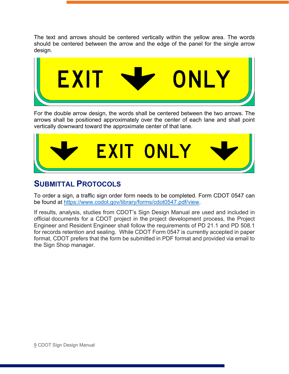The text and arrows should be centered vertically within the yellow area. The words should be centered between the arrow and the edge of the panel for the single arrow design.



For the double arrow design, the words shall be centered between the two arrows. The arrows shall be positioned approximately over the center of each lane and shall point vertically downward toward the approximate center of that lane.



### **SUBMITTAL PROTOCOLS**

To order a sign, a traffic sign order form needs to be completed. Form CDOT 0547 can be found at https://www.codot.gov/library/forms/cdot0547.pdf/view.

If results, analysis, studies from CDOT's Sign Design Manual are used and included in official documents for a CDOT project in the project development process, the Project Engineer and Resident Engineer shall follow the requirements of PD 21.1 and PD 508.1 for records retention and sealing. While CDOT Form 0547 is currently accepted in paper format, CDOT prefers that the form be submitted in PDF format and provided via email to the Sign Shop manager.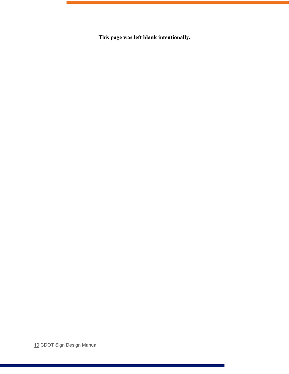**This page was left blank intentionally.** 

10 CDOT Sign Design Manual